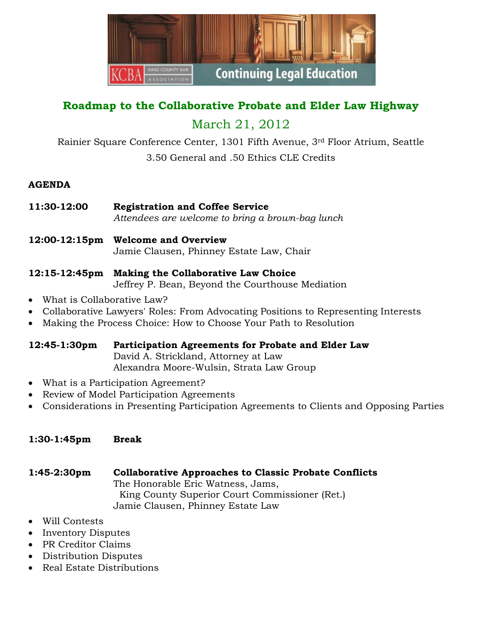

# **Roadmap to the Collaborative Probate and Elder Law Highway**

## March 21, 2012

Rainier Square Conference Center, 1301 Fifth Avenue, 3rd Floor Atrium, Seattle 3.50 General and .50 Ethics CLE Credits

## **AGENDA**

- **11:30-12:00 Registration and Coffee Service** *Attendees are welcome to bring a brown-bag lunch*
- **12:00-12:15pm Welcome and Overview** Jamie Clausen, Phinney Estate Law, Chair

## **12:15-12:45pm Making the Collaborative Law Choice**

Jeffrey P. Bean, Beyond the Courthouse Mediation

- What is Collaborative Law?
- Collaborative Lawyers' Roles: From Advocating Positions to Representing Interests
- Making the Process Choice: How to Choose Your Path to Resolution

## **12:45-1:30pm Participation Agreements for Probate and Elder Law**

David A. Strickland, Attorney at Law Alexandra Moore-Wulsin, Strata Law Group

- What is a Participation Agreement?
- Review of Model Participation Agreements
- Considerations in Presenting Participation Agreements to Clients and Opposing Parties

## **1:30-1:45pm Break**

- **1:45-2:30pm Collaborative Approaches to Classic Probate Conflicts** The Honorable Eric Watness, Jams, King County Superior Court Commissioner (Ret.) Jamie Clausen, Phinney Estate Law
- Will Contests
- Inventory Disputes
- PR Creditor Claims
- Distribution Disputes
- Real Estate Distributions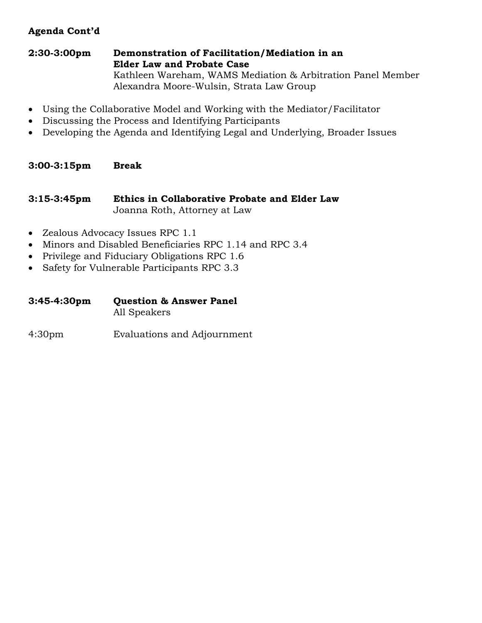## **Agenda Cont'd**

#### **2:30-3:00pm Demonstration of Facilitation/Mediation in an Elder Law and Probate Case**

Kathleen Wareham, WAMS Mediation & Arbitration Panel Member Alexandra Moore-Wulsin, Strata Law Group

- Using the Collaborative Model and Working with the Mediator/Facilitator
- Discussing the Process and Identifying Participants
- Developing the Agenda and Identifying Legal and Underlying, Broader Issues

#### **3:00-3:15pm Break**

#### **3:15-3:45pm Ethics in Collaborative Probate and Elder Law**  Joanna Roth, Attorney at Law

- Zealous Advocacy Issues RPC 1.1
- Minors and Disabled Beneficiaries RPC 1.14 and RPC 3.4
- Privilege and Fiduciary Obligations RPC 1.6
- Safety for Vulnerable Participants RPC 3.3

| 3:45-4:30pm | <b>Question &amp; Answer Panel</b> |
|-------------|------------------------------------|
|             | All Speakers                       |

4:30pm Evaluations and Adjournment